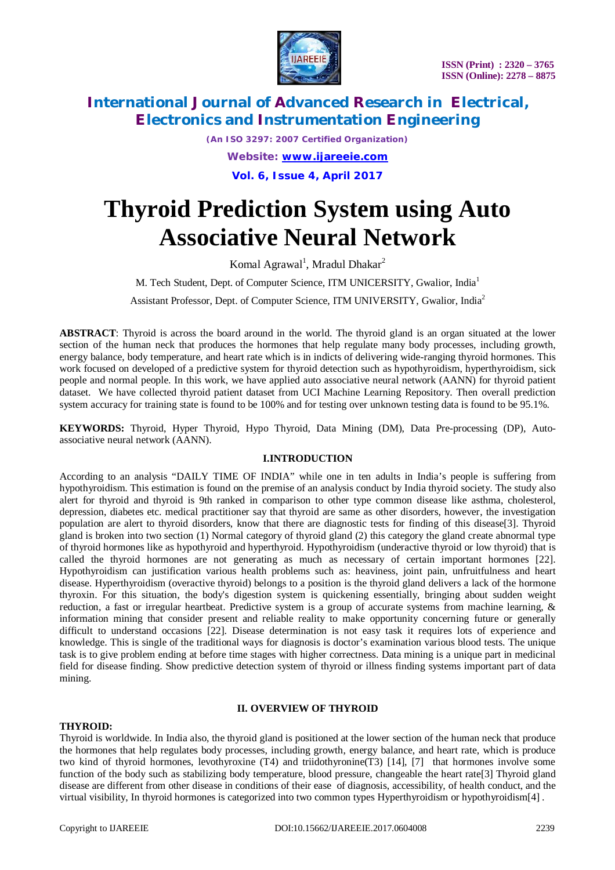

*(An ISO 3297: 2007 Certified Organization) Website: [www.ijareeie.com](http://www.ijareeie.com)*

**Vol. 6, Issue 4, April 2017**

# **Thyroid Prediction System using Auto Associative Neural Network**

Komal Agrawal<sup>1</sup>, Mradul Dhakar<sup>2</sup>

M. Tech Student, Dept. of Computer Science, ITM UNICERSITY, Gwalior, India<sup>1</sup>

Assistant Professor, Dept. of Computer Science, ITM UNIVERSITY, Gwalior, India<sup>2</sup>

**ABSTRACT**: Thyroid is across the board around in the world. The thyroid gland is an organ situated at the lower section of the human neck that produces the hormones that help regulate many body processes, including growth, energy balance, body temperature, and heart rate which is in indicts of delivering wide-ranging thyroid hormones. This work focused on developed of a predictive system for thyroid detection such as hypothyroidism, hyperthyroidism, sick people and normal people. In this work, we have applied auto associative neural network (AANN) for thyroid patient dataset. We have collected thyroid patient dataset from UCI Machine Learning Repository. Then overall prediction system accuracy for training state is found to be 100% and for testing over unknown testing data is found to be 95.1%.

**KEYWORDS:** Thyroid, Hyper Thyroid, Hypo Thyroid, Data Mining (DM), Data Pre-processing (DP), Autoassociative neural network (AANN).

#### **I.INTRODUCTION**

According to an analysis "DAILY TIME OF INDIA" while one in ten adults in India's people is suffering from hypothyroidism. This estimation is found on the premise of an analysis conduct by India thyroid society. The study also alert for thyroid and thyroid is 9th ranked in comparison to other type common disease like asthma, cholesterol, depression, diabetes etc. medical practitioner say that thyroid are same as other disorders, however, the investigation population are alert to thyroid disorders, know that there are diagnostic tests for finding of this disease[3]. Thyroid gland is broken into two section (1) Normal category of thyroid gland (2) this category the gland create abnormal type of thyroid hormones like as hypothyroid and hyperthyroid. Hypothyroidism (underactive thyroid or low thyroid) that is called the thyroid hormones are not generating as much as necessary of certain important hormones [22]. Hypothyroidism can justification various health problems such as: heaviness, joint pain, unfruitfulness and heart disease. Hyperthyroidism (overactive thyroid) belongs to a position is the thyroid gland delivers a lack of the hormone thyroxin. For this situation, the body's digestion system is quickening essentially, bringing about sudden weight reduction, a fast or irregular heartbeat. Predictive system is a group of accurate systems from machine learning,  $\&$ information mining that consider present and reliable reality to make opportunity concerning future or generally difficult to understand occasions [22]. Disease determination is not easy task it requires lots of experience and knowledge. This is single of the traditional ways for diagnosis is doctor's examination various blood tests. The unique task is to give problem ending at before time stages with higher correctness. Data mining is a unique part in medicinal field for disease finding. Show predictive detection system of thyroid or illness finding systems important part of data mining.

### **II. OVERVIEW OF THYROID**

### **THYROID:**

Thyroid is worldwide. In India also, the thyroid gland is positioned at the lower section of the human neck that produce the hormones that help regulates body processes, including growth, energy balance, and heart rate, which is produce two kind of thyroid hormones, levothyroxine (T4) and triidothyronine(T3) [14], [7] that hormones involve some function of the body such as stabilizing body temperature, blood pressure, changeable the heart rate[3] Thyroid gland disease are different from other disease in conditions of their ease of diagnosis, accessibility, of health conduct, and the virtual visibility, In thyroid hormones is categorized into two common types Hyperthyroidism or hypothyroidism[4] .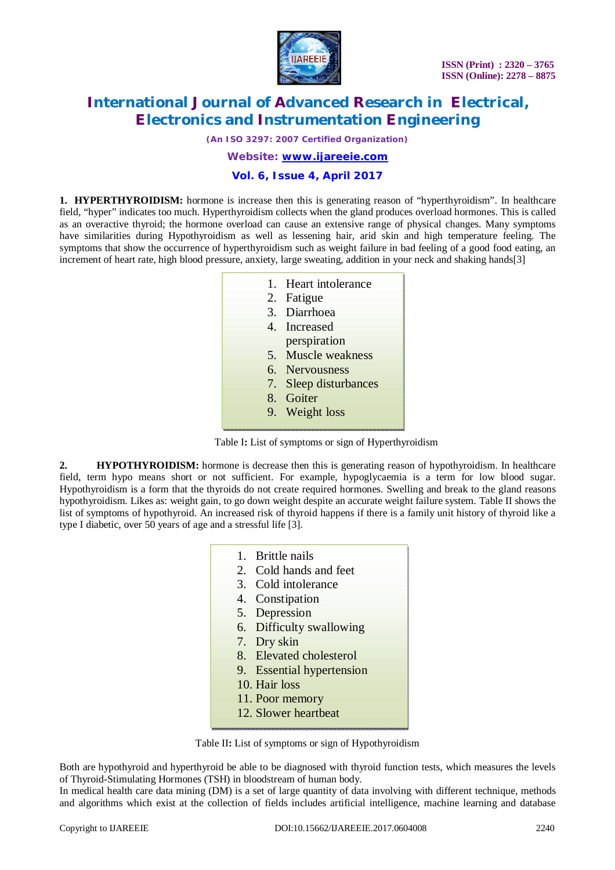

*(An ISO 3297: 2007 Certified Organization)*

*Website: [www.ijareeie.com](http://www.ijareeie.com)*

# **Vol. 6, Issue 4, April 2017**

**1. HYPERTHYROIDISM:** hormone is increase then this is generating reason of "hyperthyroidism". In healthcare field, "hyper" indicates too much. Hyperthyroidism collects when the gland produces overload hormones. This is called as an overactive thyroid; the hormone overload can cause an extensive range of physical changes. Many symptoms have similarities during Hypothyroidism as well as lessening hair, arid skin and high temperature feeling. The symptoms that show the occurrence of hyperthyroidism such as weight failure in bad feeling of a good food eating, an increment of heart rate, high blood pressure, anxiety, large sweating, addition in your neck and shaking hands[3]

- 1. Heart intolerance
- 2. Fatigue
- 3. Diarrhoea
- 4. Increased
- perspiration
- 5. Muscle weakness
- 6. Nervousness
- 7. Sleep disturbances
- 8. Goiter
- 9. Weight loss

Table I**:** List of symptoms or sign of Hyperthyroidism

**2. HYPOTHYROIDISM:** hormone is decrease then this is generating reason of hypothyroidism. In healthcare field, term hypo means short or not sufficient. For example, hypoglycaemia is a term for low blood sugar. Hypothyroidism is a form that the thyroids do not create required hormones. Swelling and break to the gland reasons hypothyroidism. Likes as: weight gain, to go down weight despite an accurate weight failure system. Table II shows the list of symptoms of hypothyroid. An increased risk of thyroid happens if there is a family unit history of thyroid like a type I diabetic, over 50 years of age and a stressful life [3].

- 1. Brittle nails
- 2. Cold hands and feet
- 3. Cold intolerance
- 4. Constipation
- 5. Depression
- 6. Difficulty swallowing
- 7. Dry skin
- 8. Elevated cholesterol
- 9. Essential hypertension
- 10. Hair loss
- 11. Poor memory
- 12. Slower heartbeat

Table II**:** List of symptoms or sign of Hypothyroidism

Both are hypothyroid and hyperthyroid be able to be diagnosed with thyroid function tests, which measures the levels of Thyroid-Stimulating Hormones (TSH) in bloodstream of human body.

In medical health care data mining (DM) is a set of large quantity of data involving with different technique, methods and algorithms which exist at the collection of fields includes artificial intelligence, machine learning and database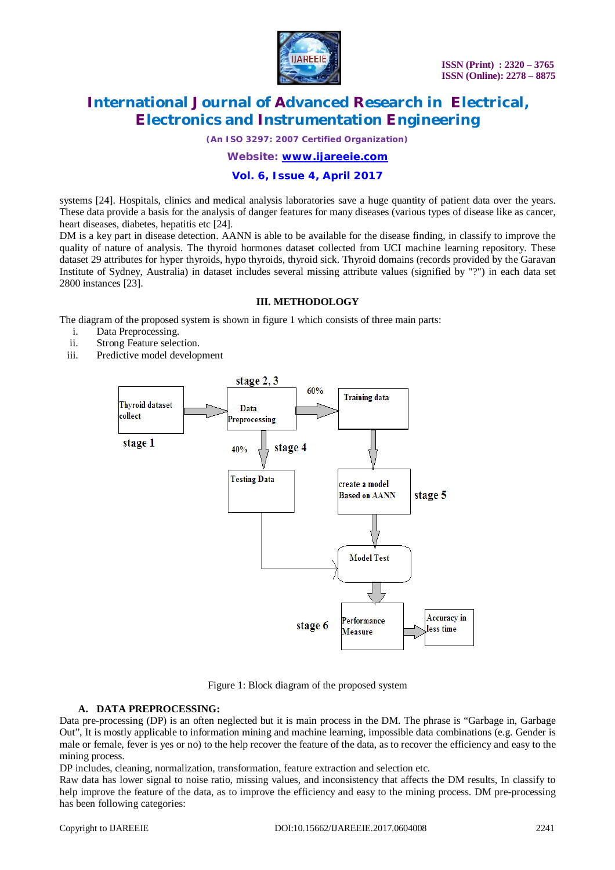

*(An ISO 3297: 2007 Certified Organization)*

*Website: [www.ijareeie.com](http://www.ijareeie.com)*

### **Vol. 6, Issue 4, April 2017**

systems [24]. Hospitals, clinics and medical analysis laboratories save a huge quantity of patient data over the years. These data provide a basis for the analysis of danger features for many diseases (various types of disease like as cancer, heart diseases, diabetes, hepatitis etc [24].

DM is a key part in disease detection. AANN is able to be available for the disease finding, in classify to improve the quality of nature of analysis. The thyroid hormones dataset collected from UCI machine learning repository. These dataset 29 attributes for hyper thyroids, hypo thyroids, thyroid sick. Thyroid domains (records provided by the Garavan Institute of Sydney, Australia) in dataset includes several missing attribute values (signified by "?") in each data set 2800 instances [23].

#### **III. METHODOLOGY**

The diagram of the proposed system is shown in figure 1 which consists of three main parts:

- i. Data Preprocessing.
- ii. Strong Feature selection.
- iii. Predictive model development



Figure 1: Block diagram of the proposed system

### **A. DATA PREPROCESSING:**

Data pre-processing (DP) is an often neglected but it is main process in the DM. The phrase is "Garbage in, Garbage Out", It is mostly applicable to information mining and machine learning, impossible data combinations (e.g. Gender is male or female, fever is yes or no) to the help recover the feature of the data, as to recover the efficiency and easy to the mining process.

DP includes, cleaning, normalization, transformation, feature extraction and selection etc.

Raw data has lower signal to noise ratio, missing values, and inconsistency that affects the DM results, In classify to help improve the feature of the data, as to improve the efficiency and easy to the mining process. DM pre-processing has been following categories: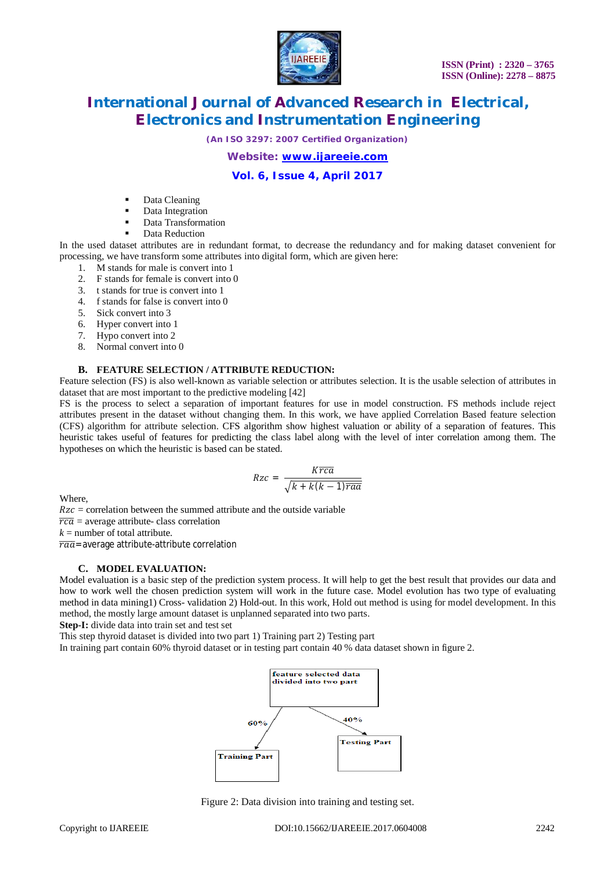

*(An ISO 3297: 2007 Certified Organization)*

*Website: [www.ijareeie.com](http://www.ijareeie.com)*

# **Vol. 6, Issue 4, April 2017**

- Data Cleaning
- Data Integration
- Data Transformation
	- Data Reduction

In the used dataset attributes are in redundant format, to decrease the redundancy and for making dataset convenient for processing, we have transform some attributes into digital form, which are given here:

- 1. M stands for male is convert into 1<br>2. F stands for female is convert into  $($
- 2. F stands for female is convert into 0
- 3. t stands for true is convert into 1
- 4. f stands for false is convert into 0
- 5. Sick convert into 3
- 6. Hyper convert into 1
- 7. Hypo convert into 2
- 8. Normal convert into 0

### **B. FEATURE SELECTION / ATTRIBUTE REDUCTION:**

Feature selection (FS) is also well-known as variable selection or attributes selection. It is the usable selection of attributes in dataset that are most important to the predictive modeling [42]

FS is the process to select a separation of important features for use in model construction. FS methods include reject attributes present in the dataset without changing them. In this work, we have applied Correlation Based feature selection (CFS) algorithm for attribute selection. CFS algorithm show highest valuation or ability of a separation of features. This heuristic takes useful of features for predicting the class label along with the level of inter correlation among them. The hypotheses on which the heuristic is based can be stated.

$$
Rzc = \frac{K\overline{rca}}{\sqrt{k + k(k-1)\overline{raa}}}
$$

Where,

 $Rzc = correlation$  between the summed attribute and the outside variable

 $\overline{rca}$  = average attribute- class correlation

 $k =$  number of total attribute.

 $\overline{ra\overline{a}}$  = average attribute-attribute correlation

### **C. MODEL EVALUATION:**

Model evaluation is a basic step of the prediction system process. It will help to get the best result that provides our data and how to work well the chosen prediction system will work in the future case. Model evolution has two type of evaluating method in data mining1) Cross- validation 2) Hold-out. In this work, Hold out method is using for model development. In this method, the mostly large amount dataset is unplanned separated into two parts.

**Step-I:** divide data into train set and test set

This step thyroid dataset is divided into two part 1) Training part 2) Testing part

In training part contain 60% thyroid dataset or in testing part contain 40 % data dataset shown in figure 2.



Figure 2: Data division into training and testing set.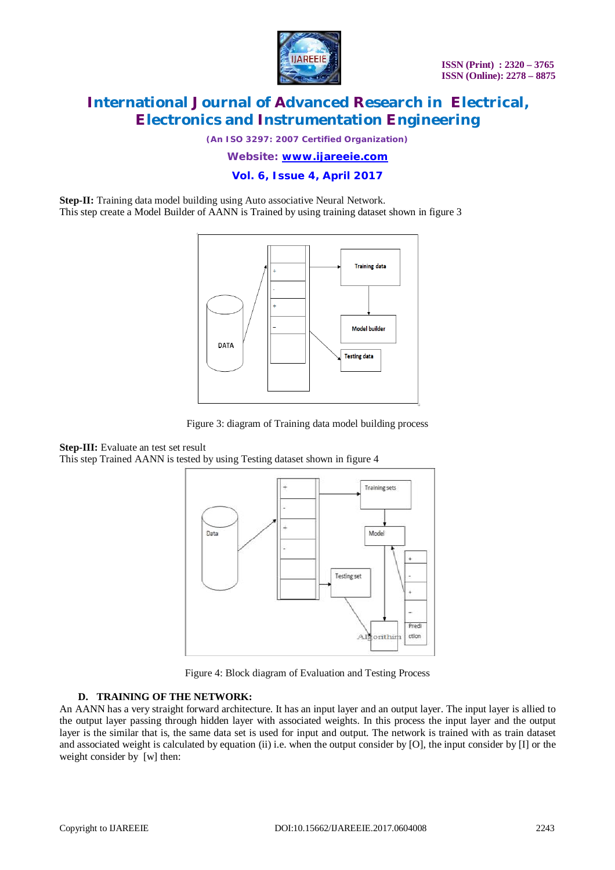

*(An ISO 3297: 2007 Certified Organization)*

*Website: [www.ijareeie.com](http://www.ijareeie.com)*

**Vol. 6, Issue 4, April 2017**

**Step-II:** Training data model building using Auto associative Neural Network. This step create a Model Builder of AANN is Trained by using training dataset shown in figure 3



Figure 3: diagram of Training data model building process

**Step-III:** Evaluate an test set result This step Trained AANN is tested by using Testing dataset shown in figure 4



Figure 4: Block diagram of Evaluation and Testing Process

### **D. TRAINING OF THE NETWORK:**

An AANN has a very straight forward architecture. It has an input layer and an output layer. The input layer is allied to the output layer passing through hidden layer with associated weights. In this process the input layer and the output layer is the similar that is, the same data set is used for input and output. The network is trained with as train dataset and associated weight is calculated by equation (ii) i.e. when the output consider by [O], the input consider by [I] or the weight consider by [w] then: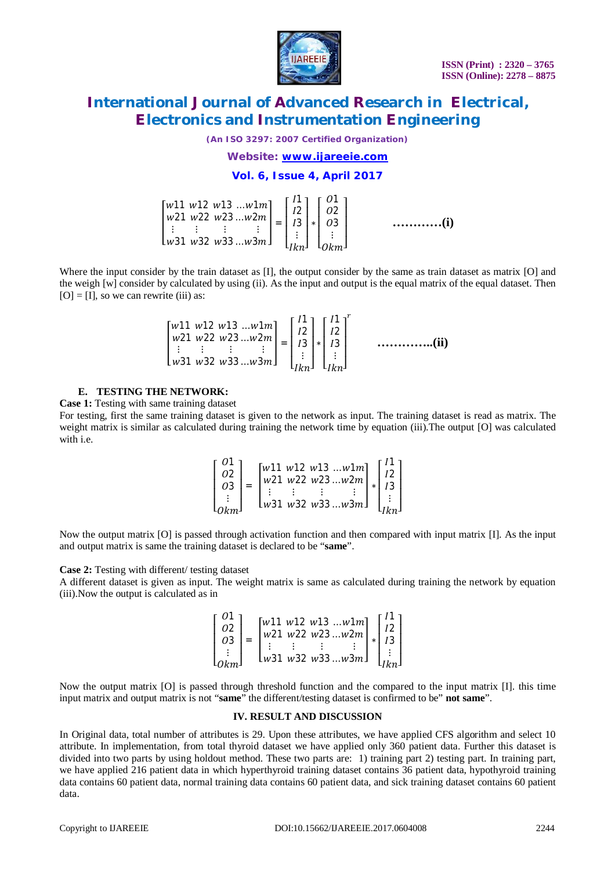

*(An ISO 3297: 2007 Certified Organization)*

#### *Website: [www.ijareeie.com](http://www.ijareeie.com)*

#### **Vol. 6, Issue 4, April 2017**

| $\begin{bmatrix} w11 & w12 & w13 & \ldots w1m \\ w21 & w22 & w23 & \ldots w2m \\ \vdots & \vdots & \vdots & \vdots \\ w31 & w32 & w33 & \ldots w3m \end{bmatrix} = \begin{bmatrix} 11 \\ 12 \\ 13 \\ \vdots \\ 1kn \end{bmatrix} * \begin{bmatrix} 01 \\ 02 \\ 03 \\ \vdots \\ 0km \end{bmatrix}$ |  |  | (i) |
|---------------------------------------------------------------------------------------------------------------------------------------------------------------------------------------------------------------------------------------------------------------------------------------------------|--|--|-----|
|---------------------------------------------------------------------------------------------------------------------------------------------------------------------------------------------------------------------------------------------------------------------------------------------------|--|--|-----|

Where the input consider by the train dataset as [I], the output consider by the same as train dataset as matrix [O] and the weigh [w] consider by calculated by using (ii). As the input and output is the equal matrix of the equal dataset. Then  $[O] = [I]$ , so we can rewrite (iii) as:

$$
\begin{bmatrix} w11 & w12 & w13 & \dots w1m \\ w21 & w22 & w23 & \dots w2m \\ \vdots & \vdots & \vdots & \vdots \\ w31 & w32 & w33 & \dots w3m \end{bmatrix} = \begin{bmatrix} 11 \\ 12 \\ 13 \\ \vdots \\ 1kn \end{bmatrix} * \begin{bmatrix} 11 \\ 12 \\ 13 \\ \vdots \\ 1kn \end{bmatrix}^r
$$
 .................(ii)

#### **E. TESTING THE NETWORK:**

**Case 1:** Testing with same training dataset

For testing, first the same training dataset is given to the network as input. The training dataset is read as matrix. The weight matrix is similar as calculated during training the network time by equation (iii). The output [O] was calculated with i.e.

$$
\begin{bmatrix} 01 \\ 02 \\ 03 \\ \vdots \\ 0km \end{bmatrix} = \begin{bmatrix} w11 & w12 & w13 & \dots & w1m \\ w21 & w22 & w23 & \dots & w2m \\ \vdots & \vdots & \vdots & & \vdots \\ w31 & w32 & w33 & \dots & w3m \end{bmatrix} * \begin{bmatrix} 11 \\ 12 \\ 13 \\ \vdots \\ 1km \end{bmatrix}
$$

Now the output matrix [O] is passed through activation function and then compared with input matrix [I]. As the input and output matrix is same the training dataset is declared to be "**same**".

#### **Case 2:** Testing with different/ testing dataset

A different dataset is given as input. The weight matrix is same as calculated during training the network by equation (iii).Now the output is calculated as in

| $\left[\begin{array}{c} 01 \\ 02 \\ 03 \end{array}\right] =$<br>$\begin{bmatrix} w11 & w12 & w13 & \dots & w1m \\ w21 & w22 & w23 & \dots & w2m \\ \vdots & \vdots & \vdots & \vdots & \vdots \end{bmatrix} * \begin{bmatrix} 11 \\ 12 \\ 13 \\ \vdots \end{bmatrix}$<br>$\lfloor w31 w32 w33 \ldots w3m \rfloor$ $\lfloor w3 \rfloor$ |  |  |  |
|----------------------------------------------------------------------------------------------------------------------------------------------------------------------------------------------------------------------------------------------------------------------------------------------------------------------------------------|--|--|--|
|----------------------------------------------------------------------------------------------------------------------------------------------------------------------------------------------------------------------------------------------------------------------------------------------------------------------------------------|--|--|--|

Now the output matrix [O] is passed through threshold function and the compared to the input matrix [I]. this time input matrix and output matrix is not "**same**" the different/testing dataset is confirmed to be" **not same**".

#### **IV. RESULT AND DISCUSSION**

In Original data, total number of attributes is 29. Upon these attributes, we have applied CFS algorithm and select 10 attribute. In implementation, from total thyroid dataset we have applied only 360 patient data. Further this dataset is divided into two parts by using holdout method. These two parts are: 1) training part 2) testing part. In training part, we have applied 216 patient data in which hyperthyroid training dataset contains 36 patient data, hypothyroid training data contains 60 patient data, normal training data contains 60 patient data, and sick training dataset contains 60 patient data.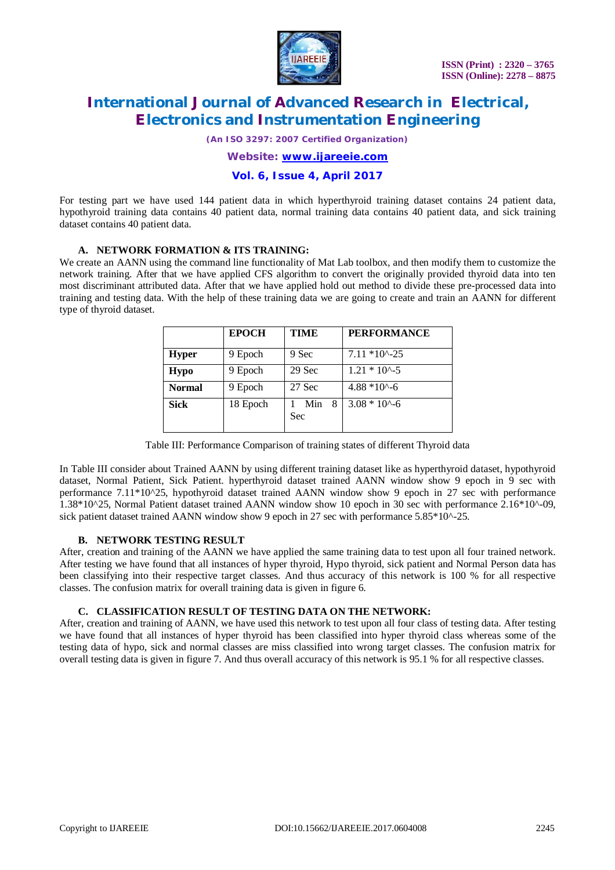

*(An ISO 3297: 2007 Certified Organization)*

*Website: [www.ijareeie.com](http://www.ijareeie.com)*

**Vol. 6, Issue 4, April 2017**

For testing part we have used 144 patient data in which hyperthyroid training dataset contains 24 patient data, hypothyroid training data contains 40 patient data, normal training data contains 40 patient data, and sick training dataset contains 40 patient data.

#### **A. NETWORK FORMATION & ITS TRAINING:**

We create an AANN using the command line functionality of Mat Lab toolbox, and then modify them to customize the network training. After that we have applied CFS algorithm to convert the originally provided thyroid data into ten most discriminant attributed data. After that we have applied hold out method to divide these pre-processed data into training and testing data. With the help of these training data we are going to create and train an AANN for different type of thyroid dataset.

|               | <b>EPOCH</b> | <b>TIME</b>     | <b>PERFORMANCE</b>  |
|---------------|--------------|-----------------|---------------------|
| <b>Hyper</b>  | 9 Epoch      | 9 Sec           | $7.11*10^{4} - 25$  |
| <b>Hypo</b>   | 9 Epoch      | 29 Sec          | $1.21 * 10^{(-)}$   |
| <b>Normal</b> | 9 Epoch      | 27 Sec          | $4.88*10^{6} - 6$   |
| <b>Sick</b>   | 18 Epoch     | Min<br>8<br>Sec | $3.08 * 10^{6} - 6$ |

Table III: Performance Comparison of training states of different Thyroid data

In Table III consider about Trained AANN by using different training dataset like as hyperthyroid dataset, hypothyroid dataset, Normal Patient, Sick Patient. hyperthyroid dataset trained AANN window show 9 epoch in 9 sec with performance 7.11\*10^25, hypothyroid dataset trained AANN window show 9 epoch in 27 sec with performance 1.38\*10^25, Normal Patient dataset trained AANN window show 10 epoch in 30 sec with performance 2.16\*10^-09, sick patient dataset trained AANN window show 9 epoch in 27 sec with performance 5.85\*10^-25.

#### **B. NETWORK TESTING RESULT**

After, creation and training of the AANN we have applied the same training data to test upon all four trained network. After testing we have found that all instances of hyper thyroid, Hypo thyroid, sick patient and Normal Person data has been classifying into their respective target classes. And thus accuracy of this network is 100 % for all respective classes. The confusion matrix for overall training data is given in figure 6.

#### **C. CLASSIFICATION RESULT OF TESTING DATA ON THE NETWORK:**

After, creation and training of AANN, we have used this network to test upon all four class of testing data. After testing we have found that all instances of hyper thyroid has been classified into hyper thyroid class whereas some of the testing data of hypo, sick and normal classes are miss classified into wrong target classes. The confusion matrix for overall testing data is given in figure 7. And thus overall accuracy of this network is 95.1 % for all respective classes.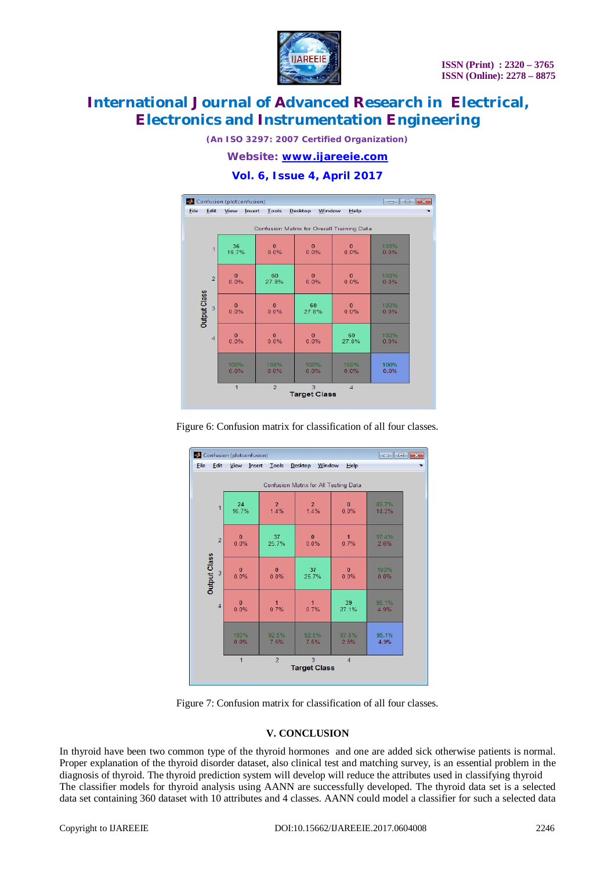

*(An ISO 3297: 2007 Certified Organization)*

*Website: [www.ijareeie.com](http://www.ijareeie.com)*

# **Vol. 6, Issue 4, April 2017**



Figure 6: Confusion matrix for classification of all four classes.

|                                       | Confusion (plotconfusion) | $\Box$ math>   |                          |                |              |  |  |  |  |
|---------------------------------------|---------------------------|----------------|--------------------------|----------------|--------------|--|--|--|--|
| <b>File</b><br>Edit                   | Insert<br>View            | Tools          | <b>Desktop</b><br>Window | Help           | $\mathbf{a}$ |  |  |  |  |
| Confusion Matrix for All Testing Data |                           |                |                          |                |              |  |  |  |  |
| $\overline{1}$                        | 24                        | $\overline{a}$ | $\overline{2}$           | $\theta$       | 85 7%        |  |  |  |  |
|                                       | 16.7%                     | 1.4%           | 1.4%                     | 0.0%           | 14.3%        |  |  |  |  |
| $\overline{2}$                        | $\mathbf{0}$              | 37             | $\mathbf{0}$             | 1              | 97.4%        |  |  |  |  |
|                                       | 0.0%                      | 25.7%          | 0.0%                     | 0.7%           | 2.6%         |  |  |  |  |
| <b>Output Class</b>                   | $\Omega$                  | $\bf{0}$       | 37                       | $\mathbf{0}$   | 100%         |  |  |  |  |
| $\overline{3}$                        | 0.0%                      | 0.0%           | 25.7%                    | 0.0%           | 0.0%         |  |  |  |  |
| $\overline{4}$                        | $\mathbf{0}$              | $\overline{1}$ | $\mathbf{1}$             | 39             | 95 1%        |  |  |  |  |
|                                       | 0.0%                      | 0.7%           | 0.7%                     | 27.1%          | 4 9%         |  |  |  |  |
|                                       | 100%                      | 92.5%          | 92.5%                    | 97 5%          | 95.1%        |  |  |  |  |
|                                       | 0.0%                      | 7.5%           | 7 5%                     | 2.5%           | 4.9%         |  |  |  |  |
|                                       | $\overline{1}$            | $\overline{2}$ | 3<br><b>Target Class</b> | $\overline{4}$ |              |  |  |  |  |

Figure 7: Confusion matrix for classification of all four classes.

### **V. CONCLUSION**

In thyroid have been two common type of the thyroid hormones and one are added sick otherwise patients is normal. Proper explanation of the thyroid disorder dataset, also clinical test and matching survey, is an essential problem in the diagnosis of thyroid. The thyroid prediction system will develop will reduce the attributes used in classifying thyroid The classifier models for thyroid analysis using AANN are successfully developed. The thyroid data set is a selected data set containing 360 dataset with 10 attributes and 4 classes. AANN could model a classifier for such a selected data